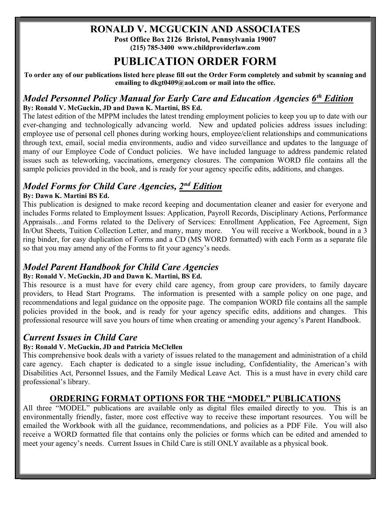### RONALD V. MCGUCKIN AND ASSOCIATES

Post Office Box 2126 Bristol, Pennsylvania 19007 (215) 785-3400 www.childproviderlaw.com

# PUBLICATION ORDER FORM

To order any of our publications listed here please fill out the Order Form completely and submit by scanning and emailing to dkgt0409@aol.com or mail into the office.

### Model Personnel Policy Manual for Early Care and Education Agencies 6<sup>th</sup> Edition By: Ronald V. McGuckin, JD and Dawn K. Martini, BS Ed.

The latest edition of the MPPM includes the latest trending employment policies to keep you up to date with our ever-changing and technologically advancing world. New and updated policies address issues including: employee use of personal cell phones during working hours, employee/client relationships and communications through text, email, social media environments, audio and video surveillance and updates to the language of many of our Employee Code of Conduct policies. We have included language to address pandemic related issues such as teleworking, vaccinations, emergency closures. The companion WORD file contains all the sample policies provided in the book, and is ready for your agency specific edits, additions, and changes.

## Model Forms for Child Care Agencies, 2<sup>nd</sup> Edition

#### By: Dawn K. Martini BS Ed.

This publication is designed to make record keeping and documentation cleaner and easier for everyone and includes Forms related to Employment Issues: Application, Payroll Records, Disciplinary Actions, Performance Appraisals…and Forms related to the Delivery of Services: Enrollment Application, Fee Agreement, Sign In/Out Sheets, Tuition Collection Letter, and many, many more. You will receive a Workbook, bound in a 3 ring binder, for easy duplication of Forms and a CD (MS WORD formatted) with each Form as a separate file so that you may amend any of the Forms to fit your agency's needs.

## Model Parent Handbook for Child Care Agencies

#### By: Ronald V. McGuckin, JD and Dawn K. Martini, BS Ed.

This resource is a must have for every child care agency, from group care providers, to family daycare providers, to Head Start Programs. The information is presented with a sample policy on one page, and recommendations and legal guidance on the opposite page. The companion WORD file contains all the sample policies provided in the book, and is ready for your agency specific edits, additions and changes. This professional resource will save you hours of time when creating or amending your agency's Parent Handbook.

### Current Issues in Child Care

#### By: Ronald V. McGuckin, JD and Patricia McClellen

This comprehensive book deals with a variety of issues related to the management and administration of a child care agency. Each chapter is dedicated to a single issue including, Confidentiality, the American's with Disabilities Act, Personnel Issues, and the Family Medical Leave Act. This is a must have in every child care professional's library.

### ORDERING FORMAT OPTIONS FOR THE "MODEL" PUBLICATIONS

All three "MODEL" publications are available only as digital files emailed directly to you. This is an environmentally friendly, faster, more cost effective way to receive these important resources. You will be emailed the Workbook with all the guidance, recommendations, and policies as a PDF File. You will also receive a WORD formatted file that contains only the policies or forms which can be edited and amended to meet your agency's needs. Current Issues in Child Care is still ONLY available as a physical book.